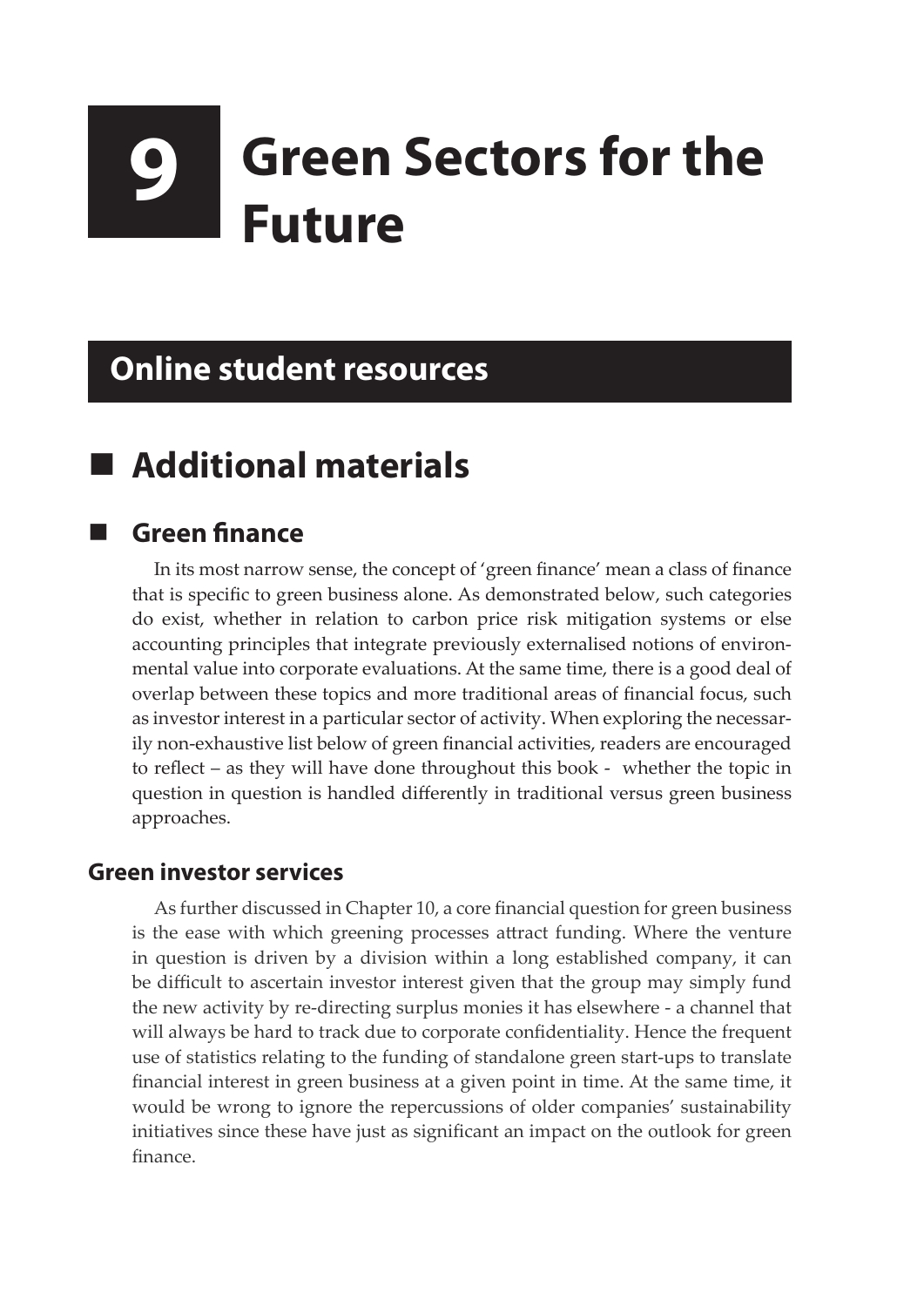# **9 Green Sectors for the Future**

# **Online student resources**

# **Additional materials**

## **Green finance**

In its most narrow sense, the concept of 'green finance' mean a class of finance that is specific to green business alone. As demonstrated below, such categories do exist, whether in relation to carbon price risk mitigation systems or else accounting principles that integrate previously externalised notions of environmental value into corporate evaluations. At the same time, there is a good deal of overlap between these topics and more traditional areas of financial focus, such as investor interest in a particular sector of activity. When exploring the necessarily non-exhaustive list below of green financial activities, readers are encouraged to reflect – as they will have done throughout this book - whether the topic in question in question is handled differently in traditional versus green business approaches.

#### **Green investor services**

As further discussed in Chapter 10, a core financial question for green business is the ease with which greening processes attract funding. Where the venture in question is driven by a division within a long established company, it can be difficult to ascertain investor interest given that the group may simply fund the new activity by re-directing surplus monies it has elsewhere - a channel that will always be hard to track due to corporate confidentiality. Hence the frequent use of statistics relating to the funding of standalone green start-ups to translate financial interest in green business at a given point in time. At the same time, it would be wrong to ignore the repercussions of older companies' sustainability initiatives since these have just as significant an impact on the outlook for green finance.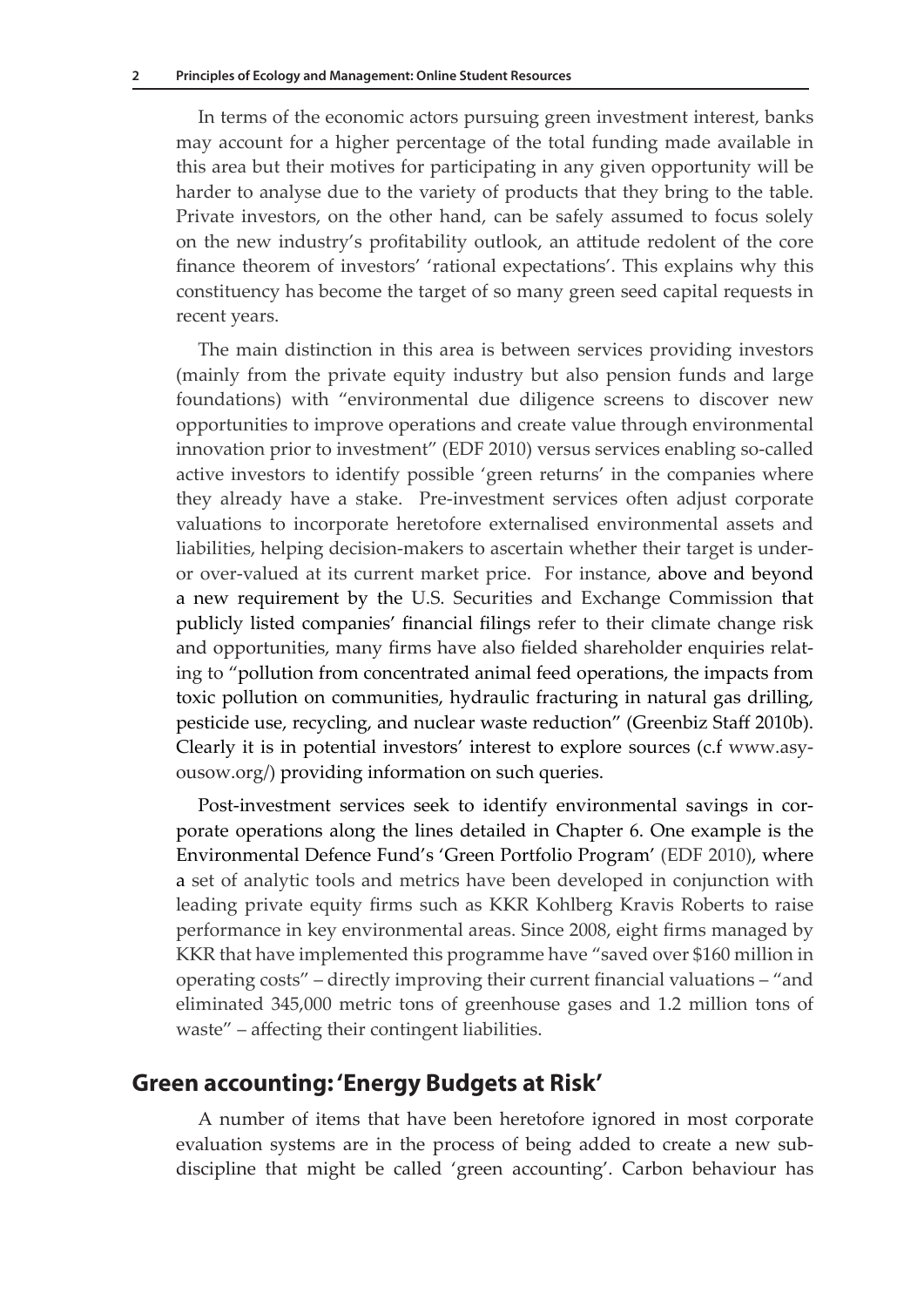In terms of the economic actors pursuing green investment interest, banks may account for a higher percentage of the total funding made available in this area but their motives for participating in any given opportunity will be harder to analyse due to the variety of products that they bring to the table. Private investors, on the other hand, can be safely assumed to focus solely on the new industry's profitability outlook, an attitude redolent of the core finance theorem of investors' 'rational expectations'. This explains why this constituency has become the target of so many green seed capital requests in recent years.

The main distinction in this area is between services providing investors (mainly from the private equity industry but also pension funds and large foundations) with "environmental due diligence screens to discover new opportunities to improve operations and create value through environmental innovation prior to investment" (EDF 2010) versus services enabling so-called active investors to identify possible 'green returns' in the companies where they already have a stake. Pre-investment services often adjust corporate valuations to incorporate heretofore externalised environmental assets and liabilities, helping decision-makers to ascertain whether their target is underor over-valued at its current market price. For instance, above and beyond a new requirement by the U.S. Securities and Exchange Commission that publicly listed companies' financial filings refer to their climate change risk and opportunities, many firms have also fielded shareholder enquiries relating to "pollution from concentrated animal feed operations, the impacts from toxic pollution on communities, hydraulic fracturing in natural gas drilling, pesticide use, recycling, and nuclear waste reduction" (Greenbiz Staff 2010b). Clearly it is in potential investors' interest to explore sources (c.f www.asyousow.org/) providing information on such queries.

Post-investment services seek to identify environmental savings in corporate operations along the lines detailed in Chapter 6. One example is the Environmental Defence Fund's 'Green Portfolio Program' (EDF 2010), where a set of analytic tools and metrics have been developed in conjunction with leading private equity firms such as KKR Kohlberg Kravis Roberts to raise performance in key environmental areas. Since 2008, eight firms managed by KKR that have implemented this programme have "saved over \$160 million in operating costs" – directly improving their current financial valuations – "and eliminated 345,000 metric tons of greenhouse gases and 1.2 million tons of waste" – affecting their contingent liabilities.

#### **Green accounting: 'Energy Budgets at Risk'**

A number of items that have been heretofore ignored in most corporate evaluation systems are in the process of being added to create a new subdiscipline that might be called 'green accounting'. Carbon behaviour has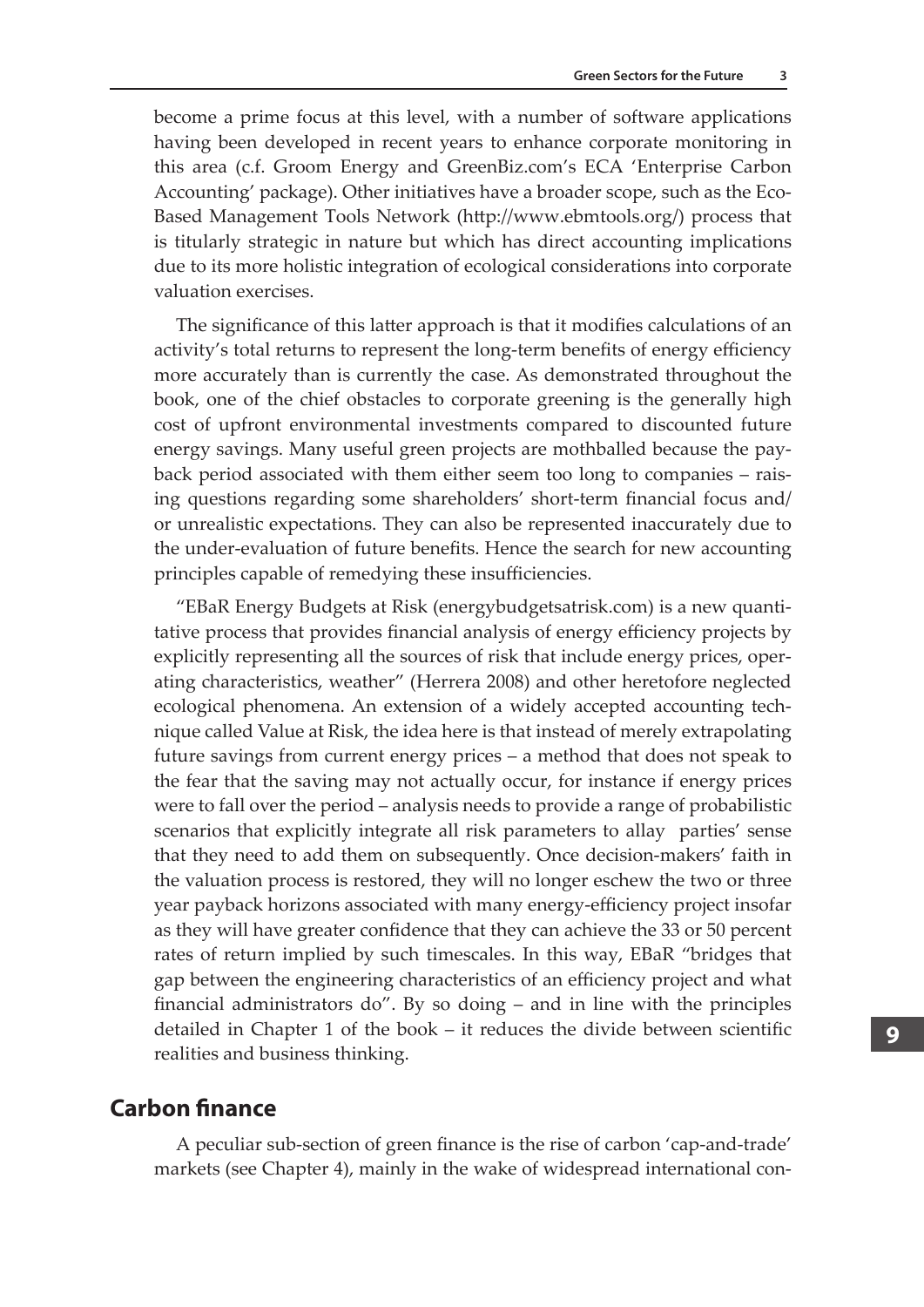become a prime focus at this level, with a number of software applications having been developed in recent years to enhance corporate monitoring in this area (c.f. Groom Energy and GreenBiz.com's ECA 'Enterprise Carbon Accounting' package). Other initiatives have a broader scope, such as the Eco-Based Management Tools Network (http://www.ebmtools.org/) process that is titularly strategic in nature but which has direct accounting implications due to its more holistic integration of ecological considerations into corporate valuation exercises.

The significance of this latter approach is that it modifies calculations of an activity's total returns to represent the long-term benefits of energy efficiency more accurately than is currently the case. As demonstrated throughout the book, one of the chief obstacles to corporate greening is the generally high cost of upfront environmental investments compared to discounted future energy savings. Many useful green projects are mothballed because the payback period associated with them either seem too long to companies – raising questions regarding some shareholders' short-term financial focus and/ or unrealistic expectations. They can also be represented inaccurately due to the under-evaluation of future benefits. Hence the search for new accounting principles capable of remedying these insufficiencies.

"EBaR Energy Budgets at Risk (energybudgetsatrisk.com) is a new quantitative process that provides financial analysis of energy efficiency projects by explicitly representing all the sources of risk that include energy prices, operating characteristics, weather" (Herrera 2008) and other heretofore neglected ecological phenomena. An extension of a widely accepted accounting technique called Value at Risk, the idea here is that instead of merely extrapolating future savings from current energy prices – a method that does not speak to the fear that the saving may not actually occur, for instance if energy prices were to fall over the period – analysis needs to provide a range of probabilistic scenarios that explicitly integrate all risk parameters to allay parties' sense that they need to add them on subsequently. Once decision-makers' faith in the valuation process is restored, they will no longer eschew the two or three year payback horizons associated with many energy-efficiency project insofar as they will have greater confidence that they can achieve the 33 or 50 percent rates of return implied by such timescales. In this way, EBaR "bridges that gap between the engineering characteristics of an efficiency project and what financial administrators do". By so doing – and in line with the principles detailed in Chapter 1 of the book – it reduces the divide between scientific realities and business thinking.

#### **Carbon finance**

A peculiar sub-section of green finance is the rise of carbon 'cap-and-trade' markets (see Chapter 4), mainly in the wake of widespread international con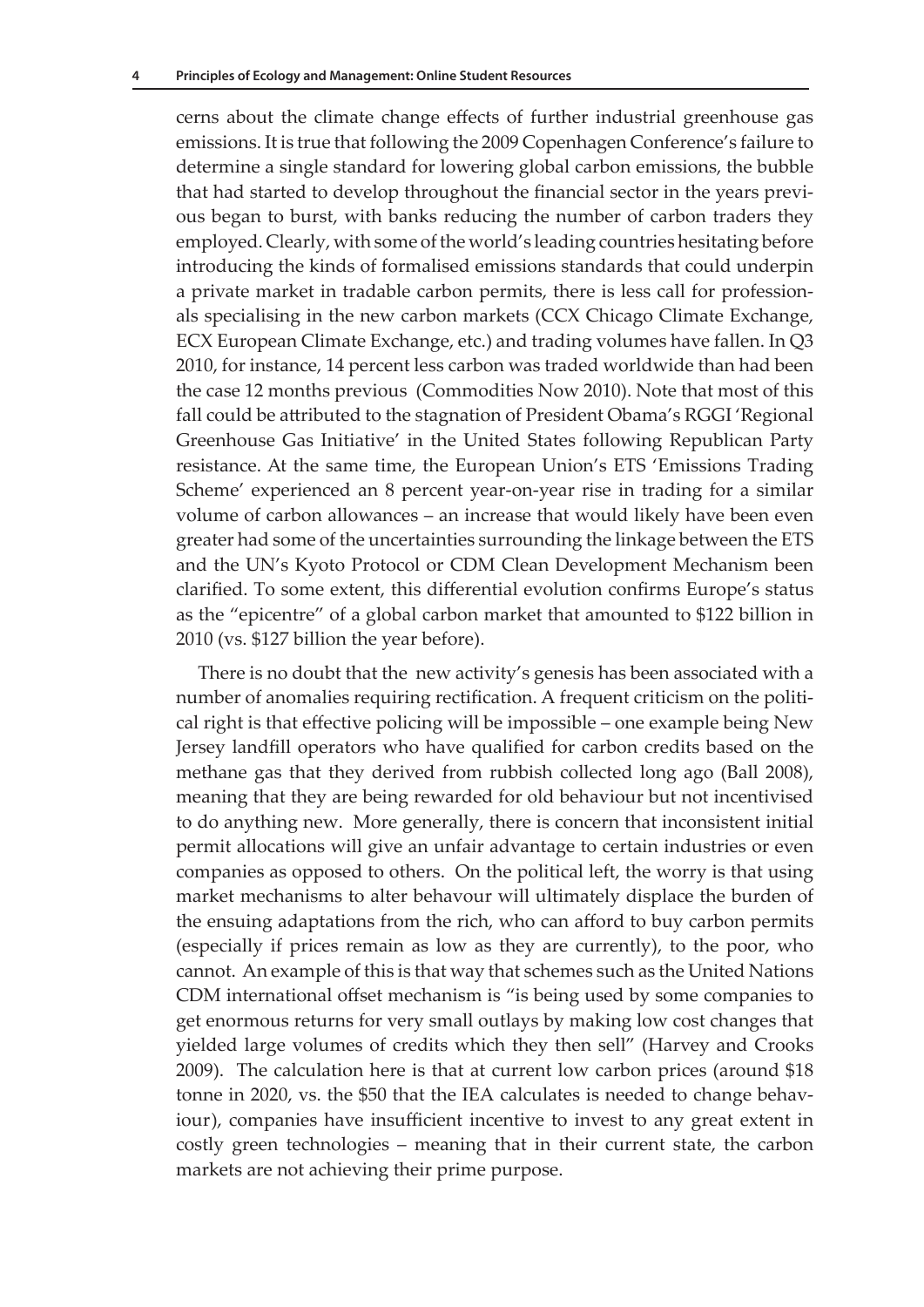cerns about the climate change effects of further industrial greenhouse gas emissions. It is true that following the 2009 Copenhagen Conference's failure to determine a single standard for lowering global carbon emissions, the bubble that had started to develop throughout the financial sector in the years previous began to burst, with banks reducing the number of carbon traders they employed. Clearly, with some of the world's leading countries hesitating before introducing the kinds of formalised emissions standards that could underpin a private market in tradable carbon permits, there is less call for professionals specialising in the new carbon markets (CCX Chicago Climate Exchange, ECX European Climate Exchange, etc.) and trading volumes have fallen. In Q3 2010, for instance, 14 percent less carbon was traded worldwide than had been the case 12 months previous (Commodities Now 2010). Note that most of this fall could be attributed to the stagnation of President Obama's RGGI 'Regional Greenhouse Gas Initiative' in the United States following Republican Party resistance. At the same time, the European Union's ETS 'Emissions Trading Scheme' experienced an 8 percent year-on-year rise in trading for a similar volume of carbon allowances – an increase that would likely have been even greater had some of the uncertainties surrounding the linkage between the ETS and the UN's Kyoto Protocol or CDM Clean Development Mechanism been clarified. To some extent, this differential evolution confirms Europe's status as the "epicentre" of a global carbon market that amounted to \$122 billion in 2010 (vs. \$127 billion the year before).

There is no doubt that the new activity's genesis has been associated with a number of anomalies requiring rectification. A frequent criticism on the political right is that effective policing will be impossible – one example being New Jersey landfill operators who have qualified for carbon credits based on the methane gas that they derived from rubbish collected long ago (Ball 2008), meaning that they are being rewarded for old behaviour but not incentivised to do anything new. More generally, there is concern that inconsistent initial permit allocations will give an unfair advantage to certain industries or even companies as opposed to others. On the political left, the worry is that using market mechanisms to alter behavour will ultimately displace the burden of the ensuing adaptations from the rich, who can afford to buy carbon permits (especially if prices remain as low as they are currently), to the poor, who cannot. An example of this is that way that schemes such as the United Nations CDM international offset mechanism is "is being used by some companies to get enormous returns for very small outlays by making low cost changes that yielded large volumes of credits which they then sell" (Harvey and Crooks 2009). The calculation here is that at current low carbon prices (around \$18 tonne in 2020, vs. the \$50 that the IEA calculates is needed to change behaviour), companies have insufficient incentive to invest to any great extent in costly green technologies – meaning that in their current state, the carbon markets are not achieving their prime purpose.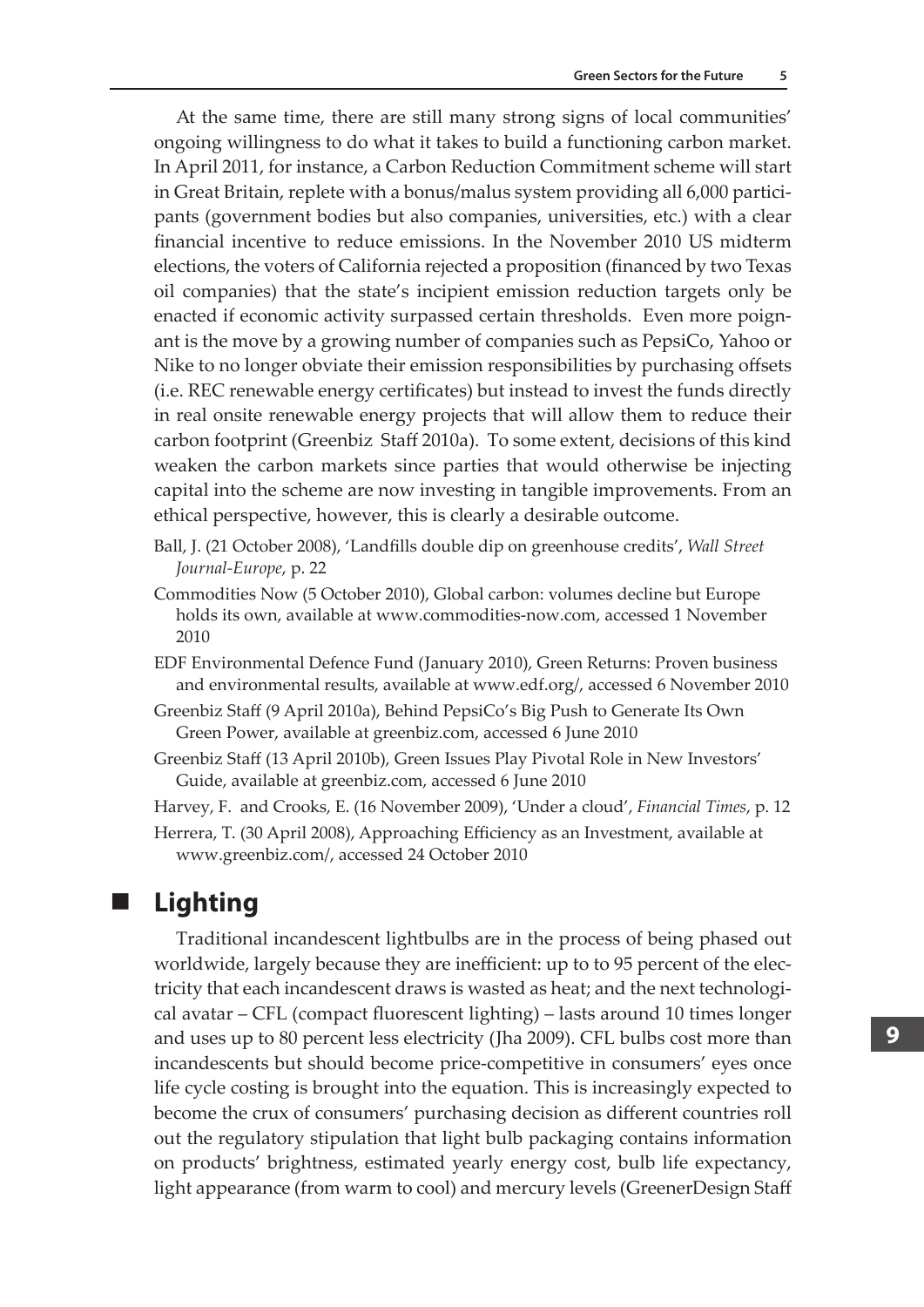At the same time, there are still many strong signs of local communities' ongoing willingness to do what it takes to build a functioning carbon market. In April 2011, for instance, a Carbon Reduction Commitment scheme will start in Great Britain, replete with a bonus/malus system providing all 6,000 participants (government bodies but also companies, universities, etc.) with a clear financial incentive to reduce emissions. In the November 2010 US midterm elections, the voters of California rejected a proposition (financed by two Texas oil companies) that the state's incipient emission reduction targets only be enacted if economic activity surpassed certain thresholds. Even more poignant is the move by a growing number of companies such as PepsiCo, Yahoo or Nike to no longer obviate their emission responsibilities by purchasing offsets (i.e. REC renewable energy certificates) but instead to invest the funds directly in real onsite renewable energy projects that will allow them to reduce their carbon footprint (Greenbiz Staff 2010a). To some extent, decisions of this kind weaken the carbon markets since parties that would otherwise be injecting capital into the scheme are now investing in tangible improvements. From an ethical perspective, however, this is clearly a desirable outcome.

- Ball, J. (21 October 2008), 'Landfills double dip on greenhouse credits', *Wall Street Journal-Europe*, p. 22
- Commodities Now (5 October 2010), Global carbon: volumes decline but Europe holds its own, available at www.commodities-now.com, accessed 1 November 2010
- EDF Environmental Defence Fund (January 2010), Green Returns: Proven business and environmental results, available at www.edf.org/, accessed 6 November 2010
- Greenbiz Staff (9 April 2010a), Behind PepsiCo's Big Push to Generate Its Own Green Power, available at greenbiz.com, accessed 6 June 2010
- Greenbiz Staff (13 April 2010b), Green Issues Play Pivotal Role in New Investors' Guide, available at greenbiz.com, accessed 6 June 2010

Harvey, F. and Crooks, E. (16 November 2009), 'Under a cloud', *Financial Times*, p. 12

Herrera, T. (30 April 2008), Approaching Efficiency as an Investment, available at www.greenbiz.com/, accessed 24 October 2010

## **Lighting**

Traditional incandescent lightbulbs are in the process of being phased out worldwide, largely because they are inefficient: up to to 95 percent of the electricity that each incandescent draws is wasted as heat; and the next technological avatar – CFL (compact fluorescent lighting) – lasts around 10 times longer and uses up to 80 percent less electricity (Jha 2009). CFL bulbs cost more than incandescents but should become price-competitive in consumers' eyes once life cycle costing is brought into the equation. This is increasingly expected to become the crux of consumers' purchasing decision as different countries roll out the regulatory stipulation that light bulb packaging contains information on products' brightness, estimated yearly energy cost, bulb life expectancy, light appearance (from warm to cool) and mercury levels (GreenerDesign Staff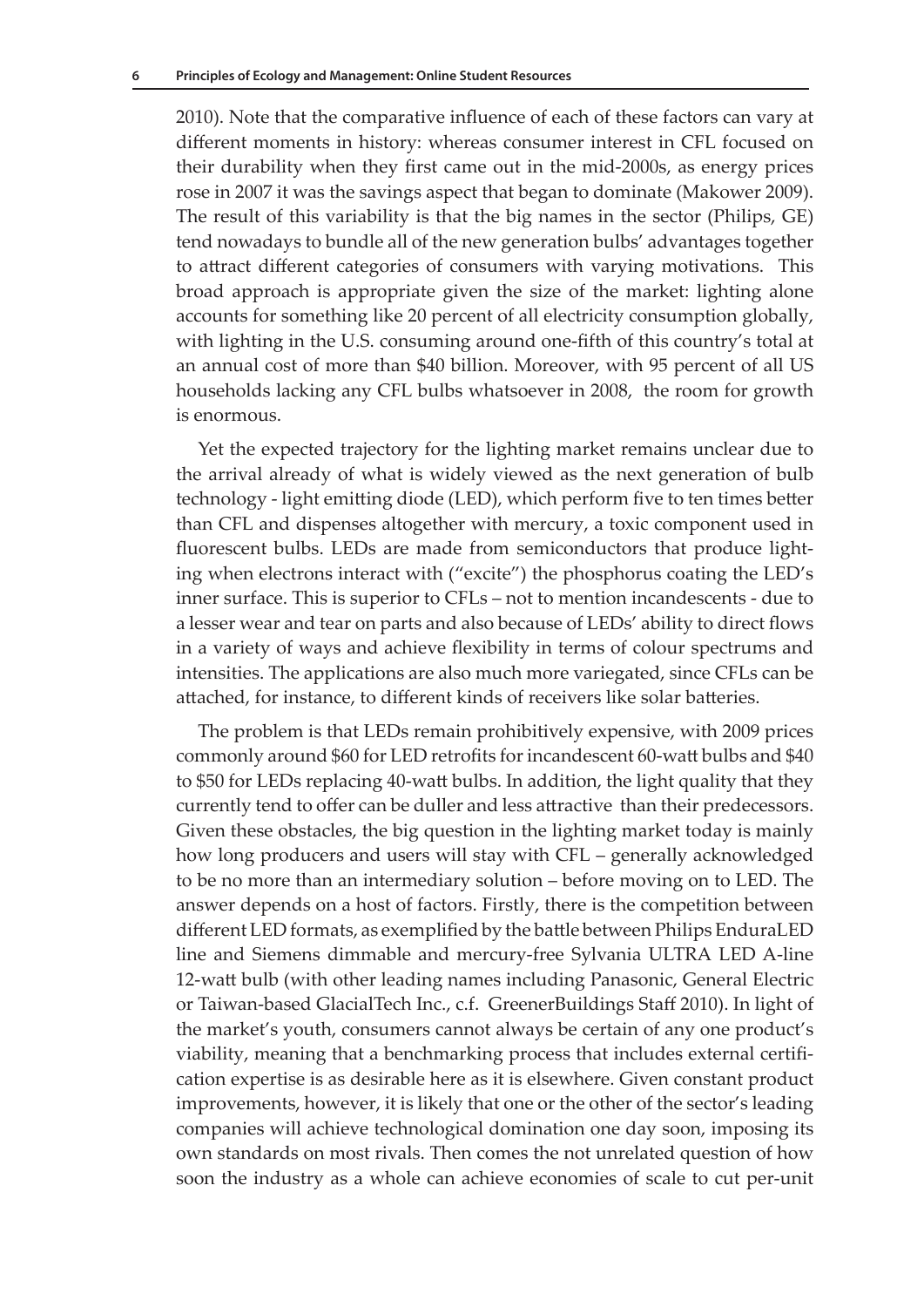2010). Note that the comparative influence of each of these factors can vary at different moments in history: whereas consumer interest in CFL focused on their durability when they first came out in the mid-2000s, as energy prices rose in 2007 it was the savings aspect that began to dominate (Makower 2009). The result of this variability is that the big names in the sector (Philips, GE) tend nowadays to bundle all of the new generation bulbs' advantages together to attract different categories of consumers with varying motivations. This broad approach is appropriate given the size of the market: lighting alone accounts for something like 20 percent of all electricity consumption globally, with lighting in the U.S. consuming around one-fifth of this country's total at an annual cost of more than \$40 billion. Moreover, with 95 percent of all US households lacking any CFL bulbs whatsoever in 2008, the room for growth is enormous.

Yet the expected trajectory for the lighting market remains unclear due to the arrival already of what is widely viewed as the next generation of bulb technology - light emitting diode (LED), which perform five to ten times better than CFL and dispenses altogether with mercury, a toxic component used in fluorescent bulbs. LEDs are made from semiconductors that produce lighting when electrons interact with ("excite") the phosphorus coating the LED's inner surface. This is superior to CFLs – not to mention incandescents - due to a lesser wear and tear on parts and also because of LEDs' ability to direct flows in a variety of ways and achieve flexibility in terms of colour spectrums and intensities. The applications are also much more variegated, since CFLs can be attached, for instance, to different kinds of receivers like solar batteries.

The problem is that LEDs remain prohibitively expensive, with 2009 prices commonly around \$60 for LED retrofits for incandescent 60-watt bulbs and \$40 to \$50 for LEDs replacing 40-watt bulbs. In addition, the light quality that they currently tend to offer can be duller and less attractive than their predecessors. Given these obstacles, the big question in the lighting market today is mainly how long producers and users will stay with CFL – generally acknowledged to be no more than an intermediary solution – before moving on to LED. The answer depends on a host of factors. Firstly, there is the competition between different LED formats, as exemplified by the battle between Philips EnduraLED line and Siemens dimmable and mercury-free Sylvania ULTRA LED A-line 12-watt bulb (with other leading names including Panasonic, General Electric or Taiwan-based GlacialTech Inc., c.f. GreenerBuildings Staff 2010). In light of the market's youth, consumers cannot always be certain of any one product's viability, meaning that a benchmarking process that includes external certification expertise is as desirable here as it is elsewhere. Given constant product improvements, however, it is likely that one or the other of the sector's leading companies will achieve technological domination one day soon, imposing its own standards on most rivals. Then comes the not unrelated question of how soon the industry as a whole can achieve economies of scale to cut per-unit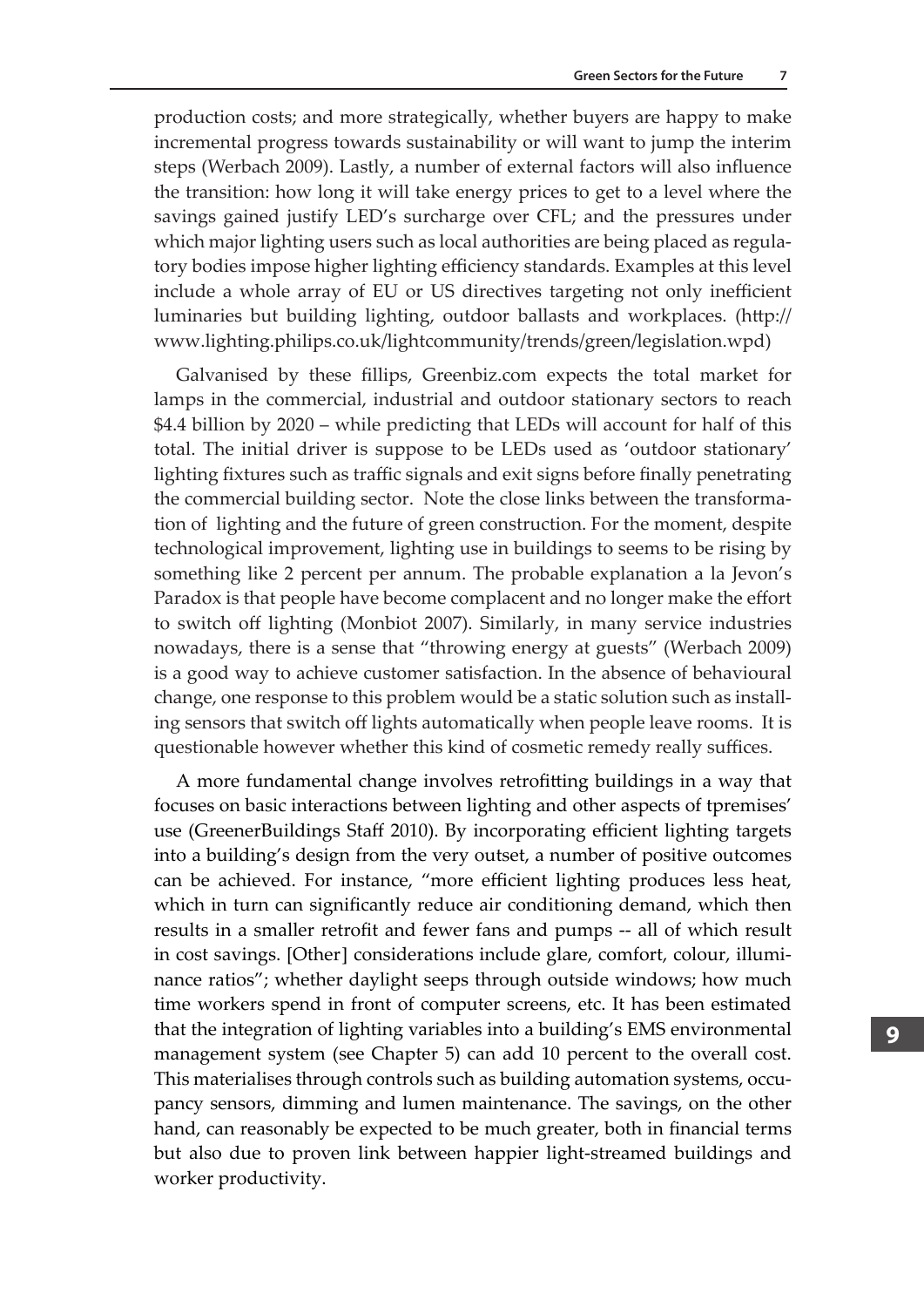production costs; and more strategically, whether buyers are happy to make incremental progress towards sustainability or will want to jump the interim steps (Werbach 2009). Lastly, a number of external factors will also influence the transition: how long it will take energy prices to get to a level where the savings gained justify LED's surcharge over CFL; and the pressures under which major lighting users such as local authorities are being placed as regulatory bodies impose higher lighting efficiency standards. Examples at this level include a whole array of EU or US directives targeting not only inefficient luminaries but building lighting, outdoor ballasts and workplaces. (http:// www.lighting.philips.co.uk/lightcommunity/trends/green/legislation.wpd)

Galvanised by these fillips, Greenbiz.com expects the total market for lamps in the commercial, industrial and outdoor stationary sectors to reach \$4.4 billion by 2020 – while predicting that LEDs will account for half of this total. The initial driver is suppose to be LEDs used as 'outdoor stationary' lighting fixtures such as traffic signals and exit signs before finally penetrating the commercial building sector. Note the close links between the transformation of lighting and the future of green construction. For the moment, despite technological improvement, lighting use in buildings to seems to be rising by something like 2 percent per annum. The probable explanation a la Jevon's Paradox is that people have become complacent and no longer make the effort to switch off lighting (Monbiot 2007). Similarly, in many service industries nowadays, there is a sense that "throwing energy at guests" (Werbach 2009) is a good way to achieve customer satisfaction. In the absence of behavioural change, one response to this problem would be a static solution such as installing sensors that switch off lights automatically when people leave rooms. It is questionable however whether this kind of cosmetic remedy really suffices.

A more fundamental change involves retrofitting buildings in a way that focuses on basic interactions between lighting and other aspects of tpremises' use (GreenerBuildings Staff 2010). By incorporating efficient lighting targets into a building's design from the very outset, a number of positive outcomes can be achieved. For instance, "more efficient lighting produces less heat, which in turn can significantly reduce air conditioning demand, which then results in a smaller retrofit and fewer fans and pumps -- all of which result in cost savings. [Other] considerations include glare, comfort, colour, illuminance ratios"; whether daylight seeps through outside windows; how much time workers spend in front of computer screens, etc. It has been estimated that the integration of lighting variables into a building's EMS environmental management system (see Chapter 5) can add 10 percent to the overall cost. This materialises through controls such as building automation systems, occupancy sensors, dimming and lumen maintenance. The savings, on the other hand, can reasonably be expected to be much greater, both in financial terms but also due to proven link between happier light-streamed buildings and worker productivity.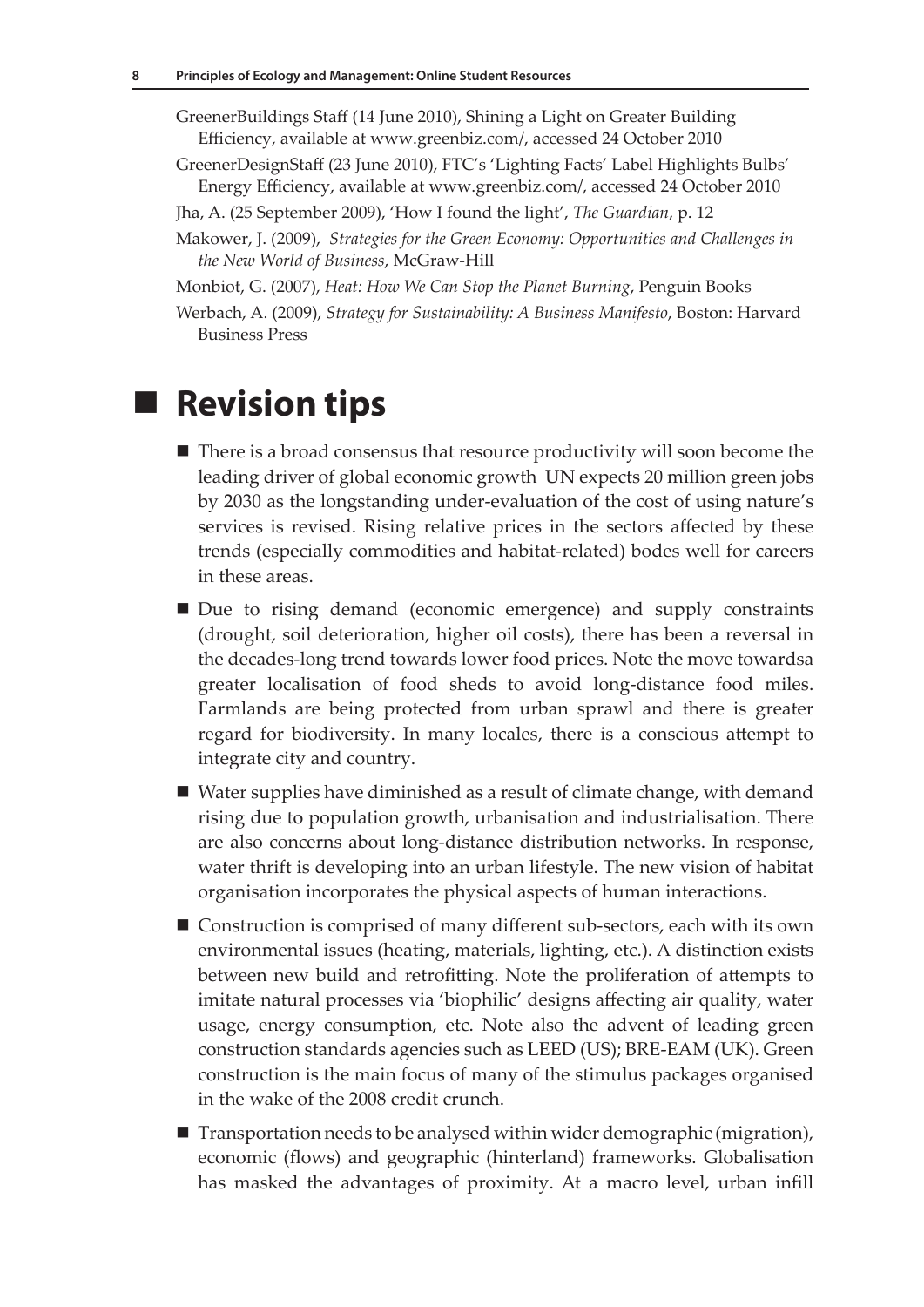GreenerBuildings Staff (14 June 2010), Shining a Light on Greater Building Efficiency, available at www.greenbiz.com/, accessed 24 October 2010

- GreenerDesignStaff (23 June 2010), FTC's 'Lighting Facts' Label Highlights Bulbs' Energy Efficiency, available at www.greenbiz.com/, accessed 24 October 2010
- Jha, A. (25 September 2009), 'How I found the light', *The Guardian*, p. 12
- Makower, J. (2009), *Strategies for the Green Economy: Opportunities and Challenges in the New World of Business*, McGraw-Hill
- Monbiot, G. (2007), *Heat: How We Can Stop the Planet Burning*, Penguin Books
- Werbach, A. (2009), *Strategy for Sustainability: A Business Manifesto*, Boston: Harvard Business Press

## **Revision tips**

- There is a broad consensus that resource productivity will soon become the leading driver of global economic growth UN expects 20 million green jobs by 2030 as the longstanding under-evaluation of the cost of using nature's services is revised. Rising relative prices in the sectors affected by these trends (especially commodities and habitat-related) bodes well for careers in these areas.
- Due to rising demand (economic emergence) and supply constraints (drought, soil deterioration, higher oil costs), there has been a reversal in the decades-long trend towards lower food prices. Note the move towardsa greater localisation of food sheds to avoid long-distance food miles. Farmlands are being protected from urban sprawl and there is greater regard for biodiversity. In many locales, there is a conscious attempt to integrate city and country.
- Water supplies have diminished as a result of climate change, with demand rising due to population growth, urbanisation and industrialisation. There are also concerns about long-distance distribution networks. In response, water thrift is developing into an urban lifestyle. The new vision of habitat organisation incorporates the physical aspects of human interactions.
- Construction is comprised of many different sub-sectors, each with its own environmental issues (heating, materials, lighting, etc.). A distinction exists between new build and retrofitting. Note the proliferation of attempts to imitate natural processes via 'biophilic' designs affecting air quality, water usage, energy consumption, etc. Note also the advent of leading green construction standards agencies such as LEED (US); BRE-EAM (UK). Green construction is the main focus of many of the stimulus packages organised in the wake of the 2008 credit crunch.
- $\blacksquare$  Transportation needs to be analysed within wider demographic (migration), economic (flows) and geographic (hinterland) frameworks. Globalisation has masked the advantages of proximity. At a macro level, urban infill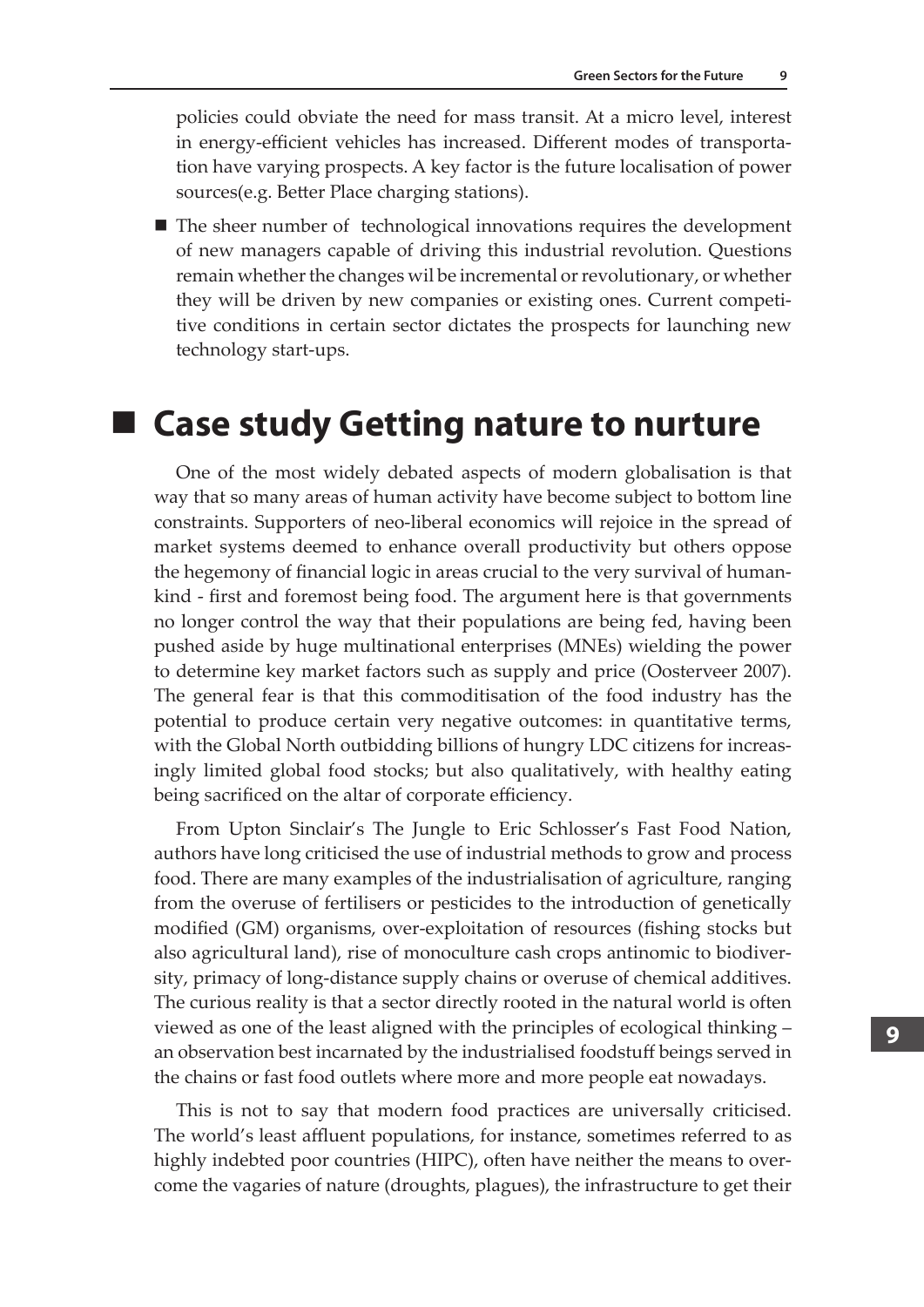policies could obviate the need for mass transit. At a micro level, interest in energy-efficient vehicles has increased. Different modes of transportation have varying prospects. A key factor is the future localisation of power sources(e.g. Better Place charging stations).

■ The sheer number of technological innovations requires the development of new managers capable of driving this industrial revolution. Questions remain whether the changes wil be incremental or revolutionary, or whether they will be driven by new companies or existing ones. Current competitive conditions in certain sector dictates the prospects for launching new technology start-ups.

## **Case study Getting nature to nurture**

One of the most widely debated aspects of modern globalisation is that way that so many areas of human activity have become subject to bottom line constraints. Supporters of neo-liberal economics will rejoice in the spread of market systems deemed to enhance overall productivity but others oppose the hegemony of financial logic in areas crucial to the very survival of humankind - first and foremost being food. The argument here is that governments no longer control the way that their populations are being fed, having been pushed aside by huge multinational enterprises (MNEs) wielding the power to determine key market factors such as supply and price (Oosterveer 2007). The general fear is that this commoditisation of the food industry has the potential to produce certain very negative outcomes: in quantitative terms, with the Global North outbidding billions of hungry LDC citizens for increasingly limited global food stocks; but also qualitatively, with healthy eating being sacrificed on the altar of corporate efficiency.

From Upton Sinclair's The Jungle to Eric Schlosser's Fast Food Nation, authors have long criticised the use of industrial methods to grow and process food. There are many examples of the industrialisation of agriculture, ranging from the overuse of fertilisers or pesticides to the introduction of genetically modified (GM) organisms, over-exploitation of resources (fishing stocks but also agricultural land), rise of monoculture cash crops antinomic to biodiversity, primacy of long-distance supply chains or overuse of chemical additives. The curious reality is that a sector directly rooted in the natural world is often viewed as one of the least aligned with the principles of ecological thinking – an observation best incarnated by the industrialised foodstuff beings served in the chains or fast food outlets where more and more people eat nowadays.

This is not to say that modern food practices are universally criticised. The world's least affluent populations, for instance, sometimes referred to as highly indebted poor countries (HIPC), often have neither the means to overcome the vagaries of nature (droughts, plagues), the infrastructure to get their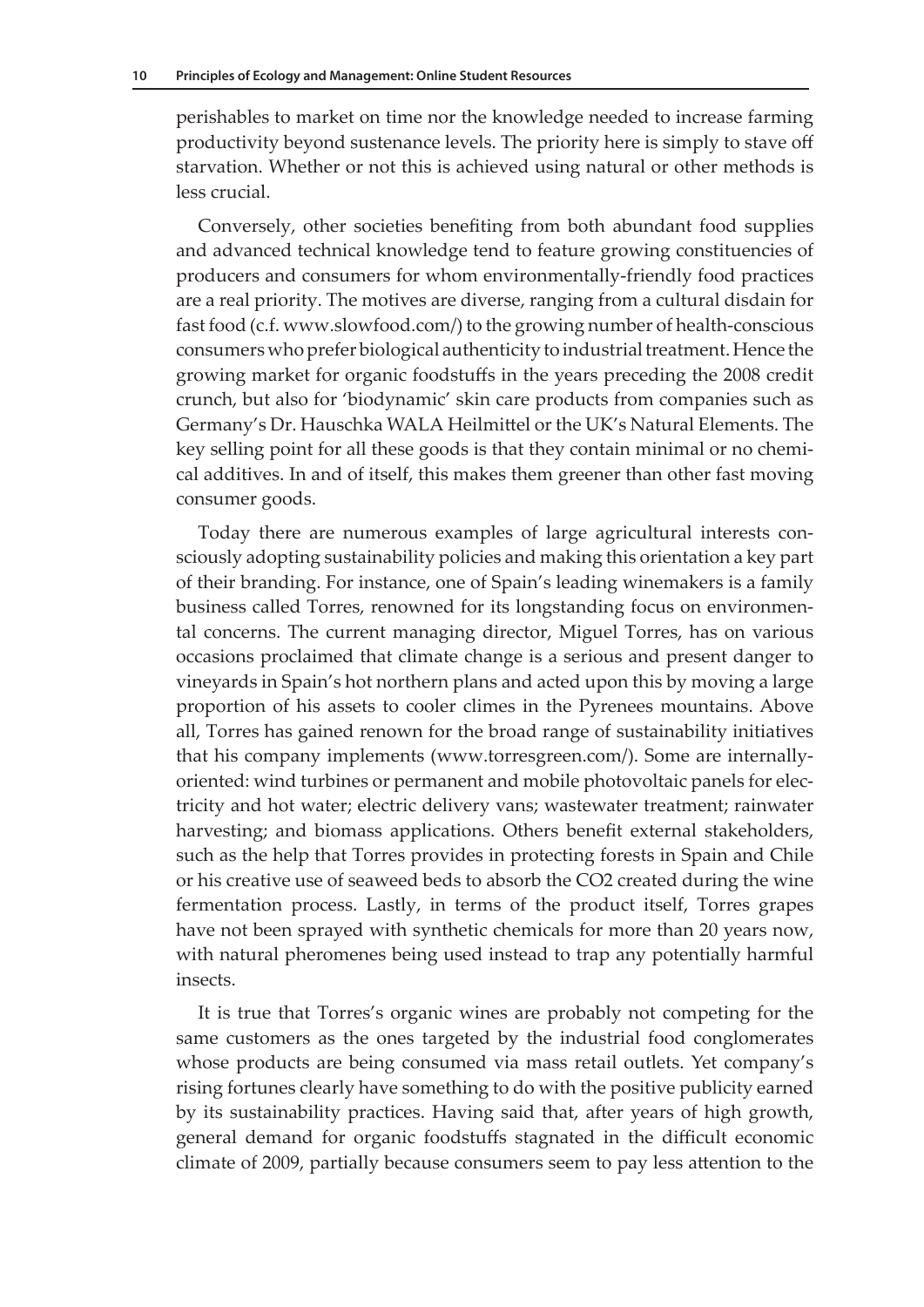perishables to market on time nor the knowledge needed to increase farming productivity beyond sustenance levels. The priority here is simply to stave off starvation. Whether or not this is achieved using natural or other methods is less crucial.

Conversely, other societies benefiting from both abundant food supplies and advanced technical knowledge tend to feature growing constituencies of producers and consumers for whom environmentally-friendly food practices are a real priority. The motives are diverse, ranging from a cultural disdain for fast food (c.f. www.slowfood.com/) to the growing number of health-conscious consumers who prefer biological authenticity to industrial treatment. Hence the growing market for organic foodstuffs in the years preceding the 2008 credit crunch, but also for 'biodynamic' skin care products from companies such as Germany's Dr. Hauschka WALA Heilmittel or the UK's Natural Elements. The key selling point for all these goods is that they contain minimal or no chemical additives. In and of itself, this makes them greener than other fast moving consumer goods.

Today there are numerous examples of large agricultural interests consciously adopting sustainability policies and making this orientation a key part of their branding. For instance, one of Spain's leading winemakers is a family business called Torres, renowned for its longstanding focus on environmental concerns. The current managing director, Miguel Torres, has on various occasions proclaimed that climate change is a serious and present danger to vineyards in Spain's hot northern plans and acted upon this by moving a large proportion of his assets to cooler climes in the Pyrenees mountains. Above all, Torres has gained renown for the broad range of sustainability initiatives that his company implements (www.torresgreen.com/). Some are internallyoriented: wind turbines or permanent and mobile photovoltaic panels for electricity and hot water; electric delivery vans; wastewater treatment; rainwater harvesting; and biomass applications. Others benefit external stakeholders, such as the help that Torres provides in protecting forests in Spain and Chile or his creative use of seaweed beds to absorb the CO2 created during the wine fermentation process. Lastly, in terms of the product itself, Torres grapes have not been sprayed with synthetic chemicals for more than 20 years now, with natural pheromenes being used instead to trap any potentially harmful insects.

It is true that Torres's organic wines are probably not competing for the same customers as the ones targeted by the industrial food conglomerates whose products are being consumed via mass retail outlets. Yet company's rising fortunes clearly have something to do with the positive publicity earned by its sustainability practices. Having said that, after years of high growth, general demand for organic foodstuffs stagnated in the difficult economic climate of 2009, partially because consumers seem to pay less attention to the